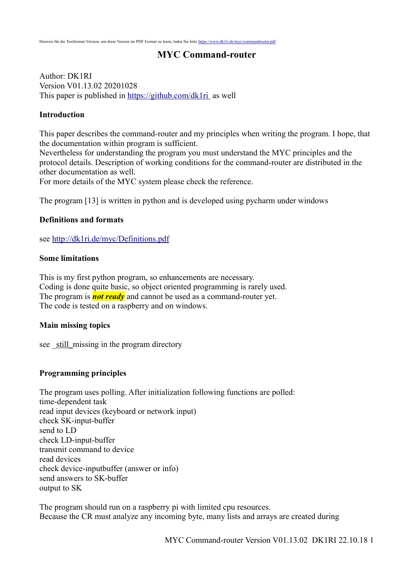#### **MYC Command-router**

Author: DK1RI Version V01.13.02 20201028 This paper is published in<https://github.com/dk1ri>as well

#### **Introduction**

This paper describes the command-router and my principles when writing the program. I hope, that the documentation within program is sufficient.

Nevertheless for understanding the program you must understand the MYC principles and the protocol details. Description of working conditions for the command-router are distributed in the other documentation as well.

For more details of the MYC system please check the reference.

The program [13] is written in python and is developed using pycharm under windows

#### **Definitions and formats**

see<http://dk1ri.de/myc/Definitions.pdf>

#### **Some limitations**

This is my first python program, so enhancements are necessary. Coding is done quite basic, so object oriented programming is rarely used. The program is *not ready* and cannot be used as a command-router yet. The code is tested on a raspberry and on windows.

#### **Main missing topics**

see still missing in the program directory

#### **Programming principles**

The program uses polling. After initialization following functions are polled: time-dependent task read input devices (keyboard or network input) check SK-input-buffer send to LD check LD-input-buffer transmit command to device read devices check device-inputbuffer (answer or info) send answers to SK-buffer output to SK

The program should run on a raspberry pi with limited cpu resources. Because the CR must analyze any incoming byte, many lists and arrays are created during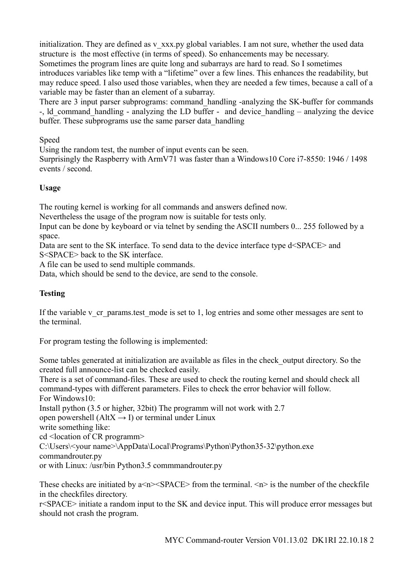initialization. They are defined as v\_xxx.py global variables. I am not sure, whether the used data structure is the most effective (in terms of speed). So enhancements may be necessary. Sometimes the program lines are quite long and subarrays are hard to read. So I sometimes introduces variables like temp with a "lifetime" over a few lines. This enhances the readability, but may reduce speed. I also used those variables, when they are needed a few times, because a call of a variable may be faster than an element of a subarray.

There are 3 input parser subprograms: command handling -analyzing the SK-buffer for commands -, ld command handling - analyzing the LD buffer - and device handling – analyzing the device buffer. These subprograms use the same parser data\_handling

Speed

Using the random test, the number of input events can be seen.

Surprisingly the Raspberry with ArmV71 was faster than a Windows10 Core i7-8550: 1946 / 1498 events / second.

# **Usage**

The routing kernel is working for all commands and answers defined now.

Nevertheless the usage of the program now is suitable for tests only.

Input can be done by keyboard or via telnet by sending the ASCII numbers 0... 255 followed by a space.

Data are sent to the SK interface. To send data to the device interface type d<SPACE> and S<SPACE> back to the SK interface.

A file can be used to send multiple commands.

Data, which should be send to the device, are send to the console.

# **Testing**

If the variable v\_cr\_params.test\_mode is set to 1, log entries and some other messages are sent to the terminal.

For program testing the following is implemented:

Some tables generated at initialization are available as files in the check\_output directory. So the created full announce-list can be checked easily.

There is a set of command-files. These are used to check the routing kernel and should check all command-types with different parameters. Files to check the error behavior will follow. For Windows10:

Install python (3.5 or higher, 32bit) The programm will not work with 2.7

open powershell ( $AltX \rightarrow I$ ) or terminal under Linux

write something like:

cd <location of CR programm>

C:\Users\<your name>\AppData\Local\Programs\Python\Python35-32\python.exe commandrouter.py

or with Linux: /usr/bin Python3.5 commmandrouter.py

These checks are initiated by  $a \le n \le SPACE$  from the terminal.  $\le n \ge$  is the number of the checkfile in the checkfiles directory.

r<SPACE> initiate a random input to the SK and device input. This will produce error messages but should not crash the program.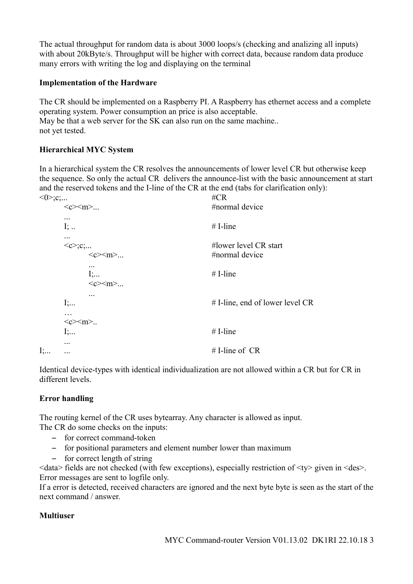The actual throughput for random data is about 3000 loops/s (checking and analizing all inputs) with about 20kByte/s. Throughput will be higher with correct data, because random data produce many errors with writing the log and displaying on the terminal

### **Implementation of the Hardware**

The CR should be implemented on a Raspberry PI. A Raspberry has ethernet access and a complete operating system. Power consumption an price is also acceptable. May be that a web server for the SK can also run on the same machine.. not yet tested.

### **Hierarchical MYC System**

In a hierarchical system the CR resolves the announcements of lower level CR but otherwise keep the sequence. So only the actual CR delivers the announce-list with the basic announcement at start and the reserved tokens and the I-line of the CR at the end (tabs for clarification only):

|    |                                                                           | $\#CR$                                  |
|----|---------------------------------------------------------------------------|-----------------------------------------|
|    | $\langle c \rangle \langle m \rangle$                                     | #normal device                          |
|    | <br>$I;$                                                                  | $#$ I-line                              |
|    | <br>$<\!\!c\!\!>:$ $\!\!c\!\!>:$<br>$\langle c \rangle \langle m \rangle$ | #lower level CR start<br>#normal device |
|    | <br>$I$ ;<br>$\langle c \rangle \langle m \rangle$                        | $#$ I-line                              |
|    | $\cdots$<br>I;<br>.                                                       | # I-line, end of lower level CR         |
|    | $\langle c \rangle \langle m \rangle$<br>$I$ ;                            | $#$ I-line                              |
| I; | $\cdots$<br>                                                              | # I-line of $CR$                        |

Identical device-types with identical individualization are not allowed within a CR but for CR in different levels.

# **Error handling**

The routing kernel of the CR uses bytearray. Any character is allowed as input.

The CR do some checks on the inputs:

- for correct command-token
- for positional parameters and element number lower than maximum
- for correct length of string

 $\leq$ data> fields are not checked (with few exceptions), especially restriction of  $\leq$ ty> given in  $\leq$ des>. Error messages are sent to logfile only.

If a error is detected, received characters are ignored and the next byte byte is seen as the start of the next command / answer.

# **Multiuser**